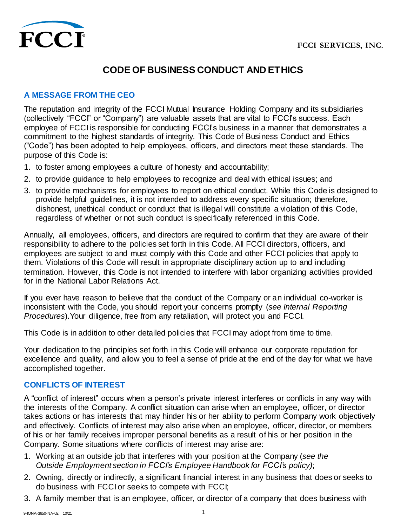

# **CODE OF BUSINESS CONDUCT AND ETHICS**

#### **A MESSAGE FROM THE CEO**

The reputation and integrity of the FCCI Mutual Insurance Holding Company and its subsidiaries (collectively "FCCI" or "Company") are valuable assets that are vital to FCCI's success. Each employee of FCCI is responsible for conducting FCCI's business in a manner that demonstrates a commitment to the highest standards of integrity. This Code of Business Conduct and Ethics ("Code") has been adopted to help employees, officers, and directors meet these standards. The purpose of this Code is:

- 1. to foster among employees a culture of honesty and accountability;
- 2. to provide guidance to help employees to recognize and deal with ethical issues; and
- 3. to provide mechanisms for employees to report on ethical conduct. While this Code is designed to provide helpful guidelines, it is not intended to address every specific situation; therefore, dishonest, unethical conduct or conduct that is illegal will constitute a violation of this Code, regardless of whether or not such conduct is specifically referenced in this Code.

Annually, all employees, officers, and directors are required to confirm that they are aware of their responsibility to adhere to the policies set forth in this Code. All FCCI directors, officers, and employees are subject to and must comply with this Code and other FCCI policies that apply to them. Violations of this Code will result in appropriate disciplinary action up to and including termination. However, this Code is not intended to interfere with labor organizing activities provided for in the National Labor Relations Act.

If you ever have reason to believe that the conduct of the Company or an individual co-worker is inconsistent with the Code, you should report your concerns promptly (*see Internal Reporting Procedures*).Your diligence, free from any retaliation, will protect you and FCCI.

This Code is in addition to other detailed policies that FCCI may adopt from time to time.

Your dedication to the principles set forth in this Code will enhance our corporate reputation for excellence and quality, and allow you to feel a sense of pride at the end of the day for what we have accomplished together.

#### **CONFLICTS OF INTEREST**

A "conflict of interest" occurs when a person's private interest interferes or conflicts in any way with the interests of the Company. A conflict situation can arise when an employee, officer, or director takes actions or has interests that may hinder his or her ability to perform Company work objectively and effectively. Conflicts of interest may also arise when an employee, officer, director, or members of his or her family receives improper personal benefits as a result of his or her position in the Company. Some situations where conflicts of interest may arise are:

- 1. Working at an outside job that interferes with your position at the Company (*see the Outside Employment section in FCCI's Employee Handbook for FCCI's policy)*;
- 2. Owning, directly or indirectly, a significant financial interest in any business that does or seeks to do business with FCCI or seeks to compete with FCCI;
- 3. A family member that is an employee, officer, or director of a company that does business with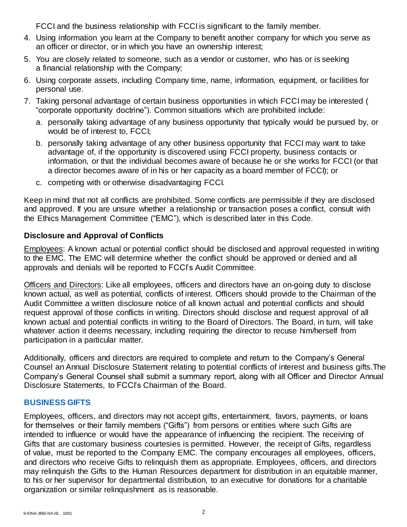FCCI and the business relationship with FCCI is significant to the family member.

- 4. Using information you learn at the Company to benefit another company for which you serve as an officer or director, or in which you have an ownership interest;
- 5. You are closely related to someone, such as a vendor or customer, who has or is seeking a financial relationship with the Company;
- 6. Using corporate assets, including Company time, name, information, equipment, or facilities for personal use.
- 7. Taking personal advantage of certain business opportunities in which FCCI may be interested ( "corporate opportunity doctrine"). Common situations which are prohibited include:
	- a. personally taking advantage of any business opportunity that typically would be pursued by, or would be of interest to, FCCI;
	- b. personally taking advantage of any other business opportunity that FCCI may want to take advantage of, if the opportunity is discovered using FCCI property, business contacts or information, or that the individual becomes aware of because he or she works for FCCI (or that a director becomes aware of in his or her capacity as a board member of FCCI); or
	- c. competing with or otherwise disadvantaging FCCI.

Keep in mind that not all conflicts are prohibited. Some conflicts are permissible if they are disclosed and approved. If you are unsure whether a relationship or transaction poses a conflict, consult with the Ethics Management Committee ("EMC"), which is described later in this Code.

# **Disclosure and Approval of Conflicts**

Employees: A known actual or potential conflict should be disclosed and approval requested in writing to the EMC. The EMC will determine whether the conflict should be approved or denied and all approvals and denials will be reported to FCCI's Audit Committee.

Officers and Directors: Like all employees, officers and directors have an on-going duty to disclose known actual, as well as potential, conflicts of interest. Officers should provide to the Chairman of the Audit Committee a written disclosure notice of all known actual and potential conflicts and should request approval of those conflicts in writing. Directors should disclose and request approval of all known actual and potential conflicts in writing to the Board of Directors. The Board, in turn, will take whatever action it deems necessary, including requiring the director to recuse him/herself from participation in a particular matter.

Additionally, officers and directors are required to complete and return to the Company's General Counsel an Annual Disclosure Statement relating to potential conflicts of interest and business gifts.The Company's General Counsel shall submit a summary report, along with all Officer and Director Annual Disclosure Statements, to FCCI's Chairman of the Board.

# **BUSINESS GIFTS**

Employees, officers, and directors may not accept gifts, entertainment, favors, payments, or loans for themselves or their family members ("Gifts") from persons or entities where such Gifts are intended to influence or would have the appearance of influencing the recipient. The receiving of Gifts that are customary business courtesies is permitted. However, the receipt of Gifts, regardless of value, must be reported to the Company EMC. The company encourages all employees, officers, and directors who receive Gifts to relinquish them as appropriate. Employees, officers, and directors may relinquish the Gifts to the Human Resources department for distribution in an equitable manner, to his or her supervisor for departmental distribution, to an executive for donations for a charitable organization or similar relinquishment as is reasonable.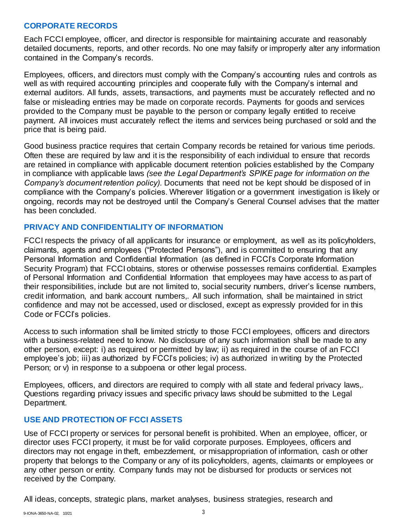## **CORPORATE RECORDS**

Each FCCI employee, officer, and director is responsible for maintaining accurate and reasonably detailed documents, reports, and other records. No one may falsify or improperly alter any information contained in the Company's records.

Employees, officers, and directors must comply with the Company's accounting rules and controls as well as with required accounting principles and cooperate fully with the Company's internal and external auditors. All funds, assets, transactions, and payments must be accurately reflected and no false or misleading entries may be made on corporate records. Payments for goods and services provided to the Company must be payable to the person or company legally entitled to receive payment. All invoices must accurately reflect the items and services being purchased or sold and the price that is being paid.

Good business practice requires that certain Company records be retained for various time periods. Often these are required by law and it is the responsibility of each individual to ensure that records are retained in compliance with applicable document retention policies established by the Company in compliance with applicable laws *(see the Legal Department's SPIKE page for information on the Company's document retention policy).* Documents that need not be kept should be disposed of in compliance with the Company's policies. Wherever litigation or a government investigation is likely or ongoing, records may not be destroyed until the Company's General Counsel advises that the matter has been concluded.

#### **PRIVACY AND CONFIDENTIALITY OF INFORMATION**

FCCI respects the privacy of all applicants for insurance or employment, as well as its policyholders, claimants, agents and employees ("Protected Persons"), and is committed to ensuring that any Personal Information and Confidential Information (as defined in FCCI's Corporate Information Security Program) that FCCI obtains, stores or otherwise possesses remains confidential. Examples of Personal Information and Confidential Information that employees may have access to as part of their responsibilities, include but are not limited to, social security numbers, driver's license numbers, credit information, and bank account numbers,. All such information, shall be maintained in strict confidence and may not be accessed, used or disclosed, except as expressly provided for in this Code or FCCI's policies.

Access to such information shall be limited strictly to those FCCI employees, officers and directors with a business-related need to know. No disclosure of any such information shall be made to any other person, except: i) as required or permitted by law; ii) as required in the course of an FCCI employee's job; iii) as authorized by FCCI's policies; iv) as authorized in writing by the Protected Person; or v) in response to a subpoena or other legal process.

Employees, officers, and directors are required to comply with all state and federal privacy laws,. Questions regarding privacy issues and specific privacy laws should be submitted to the Legal Department.

#### **USE AND PROTECTION OF FCCI ASSETS**

Use of FCCI property or services for personal benefit is prohibited. When an employee, officer, or director uses FCCI property, it must be for valid corporate purposes. Employees, officers and directors may not engage in theft, embezzlement, or misappropriation of information, cash or other property that belongs to the Company or any of its policyholders, agents, claimants or employees or any other person or entity. Company funds may not be disbursed for products or services not received by the Company.

All ideas, concepts, strategic plans, market analyses, business strategies, research and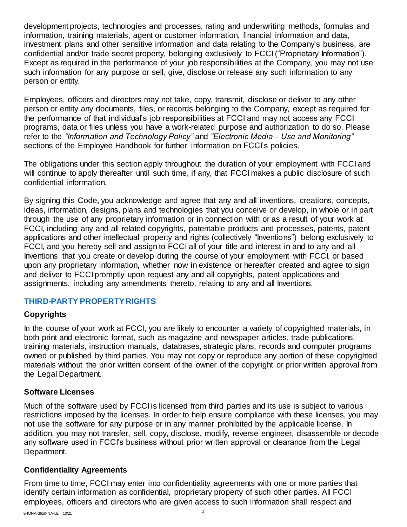development projects, technologies and processes, rating and underwriting methods, formulas and information, training materials, agent or customer information, financial information and data, investment plans and other sensitive information and data relating to the Company's business, are confidential and/or trade secret property, belonging exclusively to FCCI("Proprietary Information"). Except as required in the performance of your job responsibilities at the Company, you may not use such information for any purpose or sell, give, disclose or release any such information to any person or entity.

Employees, officers and directors may not take, copy, transmit, disclose or deliver to any other person or entity any documents, files, or records belonging to the Company, except as required for the performance of that individual's job responsibilities at FCCI and may not access any FCCI programs, data or files unless you have a work-related purpose and authorization to do so. Please refer to the *"Information and Technology Policy"* and *"Electronic Media – Use and Monitoring"*  sections of the Employee Handbook for further information on FCCI's policies.

The obligations under this section apply throughout the duration of your employment with FCCI and will continue to apply thereafter until such time, if any, that FCCI makes a public disclosure of such confidential information.

By signing this Code, you acknowledge and agree that any and all inventions, creations, concepts, ideas, information, designs, plans and technologies that you conceive or develop, in whole or in part through the use of any proprietary information or in connection with or as a result of your work at FCCI, including any and all related copyrights, patentable products and processes, patents, patent applications and other intellectual property and rights (collectively "Inventions") belong exclusively to FCCI, and you hereby sell and assign to FCCI all of your title and interest in and to any and all Inventions that you create or develop during the course of your employment with FCCI, or based upon any proprietary information, whether now in existence or hereafter created and agree to sign and deliver to FCCI promptly upon request any and all copyrights, patent applications and assignments, including any amendments thereto, relating to any and all Inventions.

## **THIRD-PARTY PROPERTY RIGHTS**

#### **Copyrights**

In the course of your work at FCCI, you are likely to encounter a variety of copyrighted materials, in both print and electronic format, such as magazine and newspaper articles, trade publications, training materials, instruction manuals, databases, strategic plans, records and computer programs owned or published by third parties. You may not copy or reproduce any portion of these copyrighted materials without the prior written consent of the owner of the copyright or prior written approval from the Legal Department.

#### **Software Licenses**

Much of the software used by FCCI is licensed from third parties and its use is subject to various restrictions imposed by the licenses. In order to help ensure compliance with these licenses, you may not use the software for any purpose or in any manner prohibited by the applicable license. In addition, you may not transfer, sell, copy, disclose, modify, reverse engineer, disassemble or decode any software used in FCCI's business without prior written approval or clearance from the Legal Department.

#### **Confidentiality Agreements**

From time to time, FCCI may enter into confidentiality agreements with one or more parties that identify certain information as confidential, proprietary property of such other parties. All FCCI employees, officers and directors who are given access to such information shall respect and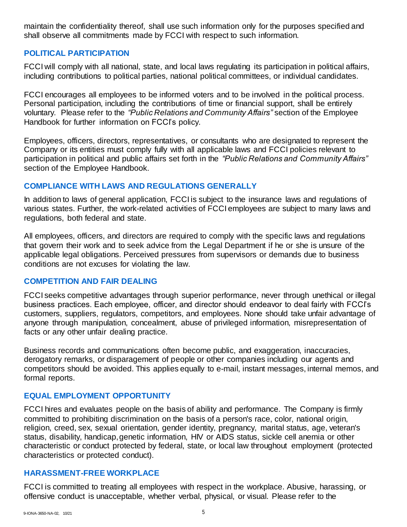maintain the confidentiality thereof, shall use such information only for the purposes specified and shall observe all commitments made by FCCI with respect to such information.

#### **POLITICAL PARTICIPATION**

FCCI will comply with all national, state, and local laws regulating its participation in political affairs, including contributions to political parties, national political committees, or individual candidates.

FCCI encourages all employees to be informed voters and to be involved in the political process. Personal participation, including the contributions of time or financial support, shall be entirely voluntary. Please refer to the *"Public Relations and Community Affairs"* section of the Employee Handbook for further information on FCCI's policy.

Employees, officers, directors, representatives, or consultants who are designated to represent the Company or its entities must comply fully with all applicable laws and FCCI policies relevant to participation in political and public affairs set forth in the *"Public Relations and Community Affairs"* section of the Employee Handbook.

#### **COMPLIANCE WITH LAWS AND REGULATIONS GENERALLY**

In addition to laws of general application, FCCI is subject to the insurance laws and regulations of various states. Further, the work-related activities of FCCI employees are subject to many laws and regulations, both federal and state.

All employees, officers, and directors are required to comply with the specific laws and regulations that govern their work and to seek advice from the Legal Department if he or she is unsure of the applicable legal obligations. Perceived pressures from supervisors or demands due to business conditions are not excuses for violating the law.

#### **COMPETITION AND FAIR DEALING**

FCCI seeks competitive advantages through superior performance, never through unethical or illegal business practices. Each employee, officer, and director should endeavor to deal fairly with FCCI's customers, suppliers, regulators, competitors, and employees. None should take unfair advantage of anyone through manipulation, concealment, abuse of privileged information, misrepresentation of facts or any other unfair dealing practice.

Business records and communications often become public, and exaggeration, inaccuracies, derogatory remarks, or disparagement of people or other companies including our agents and competitors should be avoided. This applies equally to e-mail, instant messages, internal memos, and formal reports.

#### **EQUAL EMPLOYMENT OPPORTUNITY**

FCCI hires and evaluates people on the basis of ability and performance. The Company is firmly committed to prohibiting discrimination on the basis of a person's race, color, national origin, religion, creed, sex, sexual orientation, gender identity, pregnancy, marital status, age, veteran's status, disability, handicap, genetic information, HIV or AIDS status, sickle cell anemia or other characteristic or conduct protected by federal, state, or local law throughout employment (protected characteristics or protected conduct).

#### **HARASSMENT-FREE WORKPLACE**

FCCI is committed to treating all employees with respect in the workplace. Abusive, harassing, or offensive conduct is unacceptable, whether verbal, physical, or visual. Please refer to the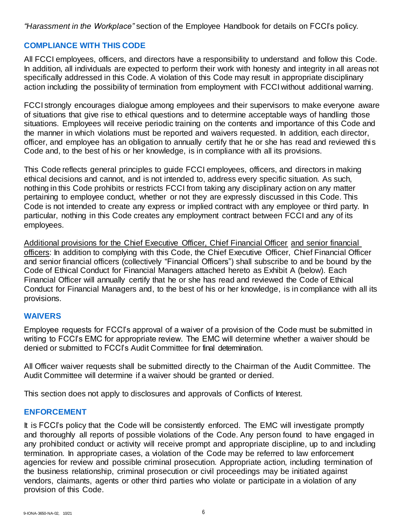*"Harassment in the Workplace"* section of the Employee Handbook for details on FCCI's policy.

# **COMPLIANCE WITH THIS CODE**

All FCCI employees, officers, and directors have a responsibility to understand and follow this Code. In addition, all individuals are expected to perform their work with honesty and integrity in all areas not specifically addressed in this Code. A violation of this Code may result in appropriate disciplinary action including the possibility of termination from employment with FCCI without additional warning.

FCCI strongly encourages dialogue among employees and their supervisors to make everyone aware of situations that give rise to ethical questions and to determine acceptable ways of handling those situations. Employees will receive periodic training on the contents and importance of this Code and the manner in which violations must be reported and waivers requested. In addition, each director, officer, and employee has an obligation to annually certify that he or she has read and reviewed this Code and, to the best of his or her knowledge, is in compliance with all its provisions.

This Code reflects general principles to guide FCCI employees, officers, and directors in making ethical decisions and cannot, and is not intended to, address every specific situation. As such, nothing in this Code prohibits or restricts FCCI from taking any disciplinary action on any matter pertaining to employee conduct, whether or not they are expressly discussed in this Code. This Code is not intended to create any express or implied contract with any employee or third party. In particular, nothing in this Code creates any employment contract between FCCI and any of its employees.

Additional provisions for the Chief Executive Officer, Chief Financial Officer and senior financial officers: In addition to complying with this Code, the Chief Executive Officer, Chief Financial Officer and senior financial officers (collectively "Financial Officers") shall subscribe to and be bound by the Code of Ethical Conduct for Financial Managers attached hereto as Exhibit A (below). Each Financial Officer will annually certify that he or she has read and reviewed the Code of Ethical Conduct for Financial Managers and, to the best of his or her knowledge, is in compliance with all its provisions.

#### **WAIVERS**

Employee requests for FCCI's approval of a waiver of a provision of the Code must be submitted in writing to FCCI's EMC for appropriate review. The EMC will determine whether a waiver should be denied or submitted to FCCI's Audit Committee for final determination.

All Officer waiver requests shall be submitted directly to the Chairman of the Audit Committee. The Audit Committee will determine if a waiver should be granted or denied.

This section does not apply to disclosures and approvals of Conflicts of Interest.

#### **ENFORCEMENT**

It is FCCI's policy that the Code will be consistently enforced. The EMC will investigate promptly and thoroughly all reports of possible violations of the Code. Any person found to have engaged in any prohibited conduct or activity will receive prompt and appropriate discipline, up to and including termination. In appropriate cases, a violation of the Code may be referred to law enforcement agencies for review and possible criminal prosecution. Appropriate action, including termination of the business relationship, criminal prosecution or civil proceedings may be initiated against vendors, claimants, agents or other third parties who violate or participate in a violation of any provision of this Code.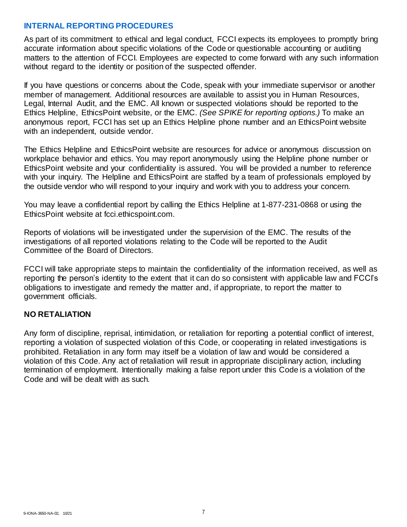#### **INTERNAL REPORTING PROCEDURES**

As part of its commitment to ethical and legal conduct, FCCI expects its employees to promptly bring accurate information about specific violations of the Code or questionable accounting or auditing matters to the attention of FCCI. Employees are expected to come forward with any such information without regard to the identity or position of the suspected offender.

If you have questions or concerns about the Code, speak with your immediate supervisor or another member of management. Additional resources are available to assist you in Human Resources, Legal, Internal Audit, and the EMC. All known or suspected violations should be reported to the Ethics Helpline, EthicsPoint website, or the EMC. *(See SPIKE for reporting options.)* To make an anonymous report, FCCI has set up an Ethics Helpline phone number and an EthicsPoint website with an independent, outside vendor.

The Ethics Helpline and EthicsPoint website are resources for advice or anonymous discussion on workplace behavior and ethics. You may report anonymously using the Helpline phone number or EthicsPoint website and your confidentiality is assured. You will be provided a number to reference with your inquiry. The Helpline and EthicsPoint are staffed by a team of professionals employed by the outside vendor who will respond to your inquiry and work with you to address your concern.

You may leave a confidential report by calling the Ethics Helpline at 1-877-231-0868 or using the EthicsPoint website at fcci.ethicspoint.com.

Reports of violations will be investigated under the supervision of the EMC. The results of the investigations of all reported violations relating to the Code will be reported to the Audit Committee of the Board of Directors.

FCCI will take appropriate steps to maintain the confidentiality of the information received, as well as reporting the person's identity to the extent that it can do so consistent with applicable law and FCCI's obligations to investigate and remedy the matter and, if appropriate, to report the matter to government officials.

#### **NO RETALIATION**

Any form of discipline, reprisal, intimidation, or retaliation for reporting a potential conflict of interest, reporting a violation of suspected violation of this Code, or cooperating in related investigations is prohibited. Retaliation in any form may itself be a violation of law and would be considered a violation of this Code. Any act of retaliation will result in appropriate disciplinary action, including termination of employment. Intentionally making a false report under this Code is a violation of the Code and will be dealt with as such.